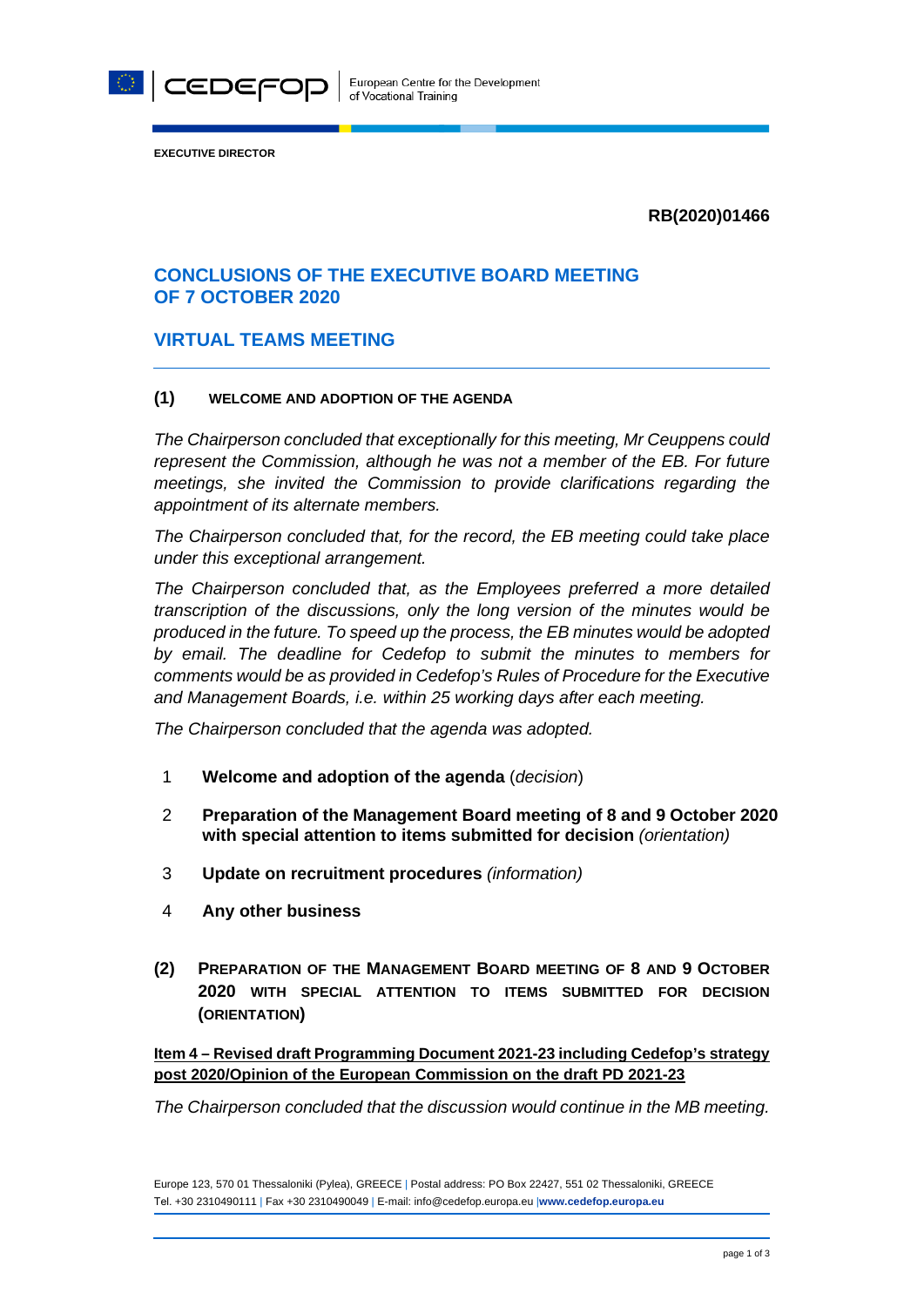

**EXECUTIVE DIRECTOR**

**RB(2020)01466**

# **CONCLUSIONS OF THE EXECUTIVE BOARD MEETING OF 7 OCTOBER 2020**

### **VIRTUAL TEAMS MEETING**

#### **(1) WELCOME AND ADOPTION OF THE AGENDA**

*The Chairperson concluded that exceptionally for this meeting, Mr Ceuppens could represent the Commission, although he was not a member of the EB. For future meetings, she invited the Commission to provide clarifications regarding the appointment of its alternate members.* 

*The Chairperson concluded that, for the record, the EB meeting could take place under this exceptional arrangement.*

*The Chairperson concluded that, as the Employees preferred a more detailed transcription of the discussions, only the long version of the minutes would be produced in the future. To speed up the process, the EB minutes would be adopted by email. The deadline for Cedefop to submit the minutes to members for comments would be as provided in Cedefop's Rules of Procedure for the Executive and Management Boards, i.e. within 25 working days after each meeting.* 

*The Chairperson concluded that the agenda was adopted.*

- 1 **Welcome and adoption of the agenda** (*decision*)
- 2 **Preparation of the Management Board meeting of 8 and 9 October 2020 with special attention to items submitted for decision** *(orientation)*
- 3 **Update on recruitment procedures** *(information)*
- 4 **Any other business**
- **(2) PREPARATION OF THE MANAGEMENT BOARD MEETING OF 8 AND 9 OCTOBER 2020 WITH SPECIAL ATTENTION TO ITEMS SUBMITTED FOR DECISION (ORIENTATION)**

**Item 4 – Revised draft Programming Document 2021-23 including Cedefop's strategy post 2020/Opinion of the European Commission on the draft PD 2021-23**

*The Chairperson concluded that the discussion would continue in the MB meeting.* 

Europe 123, 570 01 Thessaloniki (Pylea), GREECE | Postal address: PO Box 22427, 551 02 Thessaloniki, GREECE Τel. +30 2310490111 | Fax +30 2310490049 | E-mail: info@cedefop.europa.eu |**www.cedefop.europa.eu**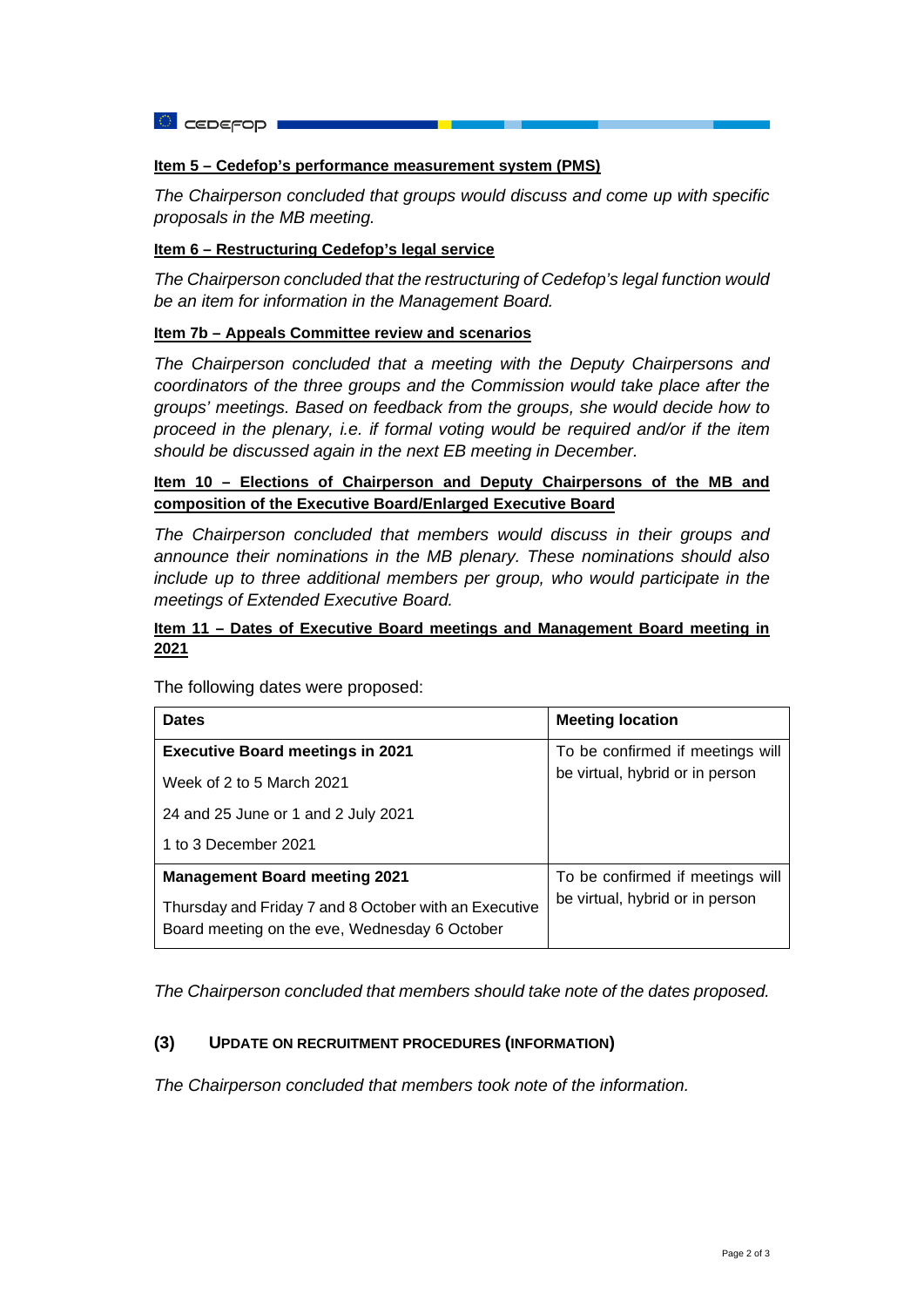**a** ceperop **i** 

#### **Item 5 – Cedefop's performance measurement system (PMS)**

*The Chairperson concluded that groups would discuss and come up with specific proposals in the MB meeting.* 

#### **Item 6 – Restructuring Cedefop's legal service**

*The Chairperson concluded that the restructuring of Cedefop's legal function would be an item for information in the Management Board.* 

### **Item 7b – Appeals Committee review and scenarios**

*The Chairperson concluded that a meeting with the Deputy Chairpersons and coordinators of the three groups and the Commission would take place after the groups' meetings. Based on feedback from the groups, she would decide how to proceed in the plenary, i.e. if formal voting would be required and/or if the item should be discussed again in the next EB meeting in December.*

### **Item 10 – Elections of Chairperson and Deputy Chairpersons of the MB and composition of the Executive Board/Enlarged Executive Board**

*The Chairperson concluded that members would discuss in their groups and announce their nominations in the MB plenary. These nominations should also include up to three additional members per group, who would participate in the meetings of Extended Executive Board.* 

### **Item 11 – Dates of Executive Board meetings and Management Board meeting in 2021**

| <b>Dates</b>                                                                                           | <b>Meeting location</b>                                             |
|--------------------------------------------------------------------------------------------------------|---------------------------------------------------------------------|
| <b>Executive Board meetings in 2021</b>                                                                | To be confirmed if meetings will<br>be virtual, hybrid or in person |
| Week of 2 to 5 March 2021                                                                              |                                                                     |
| 24 and 25 June or 1 and 2 July 2021                                                                    |                                                                     |
| 1 to 3 December 2021                                                                                   |                                                                     |
| <b>Management Board meeting 2021</b>                                                                   | To be confirmed if meetings will                                    |
| Thursday and Friday 7 and 8 October with an Executive<br>Board meeting on the eve, Wednesday 6 October | be virtual, hybrid or in person                                     |

The following dates were proposed:

*The Chairperson concluded that members should take note of the dates proposed.* 

#### **(3) UPDATE ON RECRUITMENT PROCEDURES (INFORMATION)**

*The Chairperson concluded that members took note of the information.*